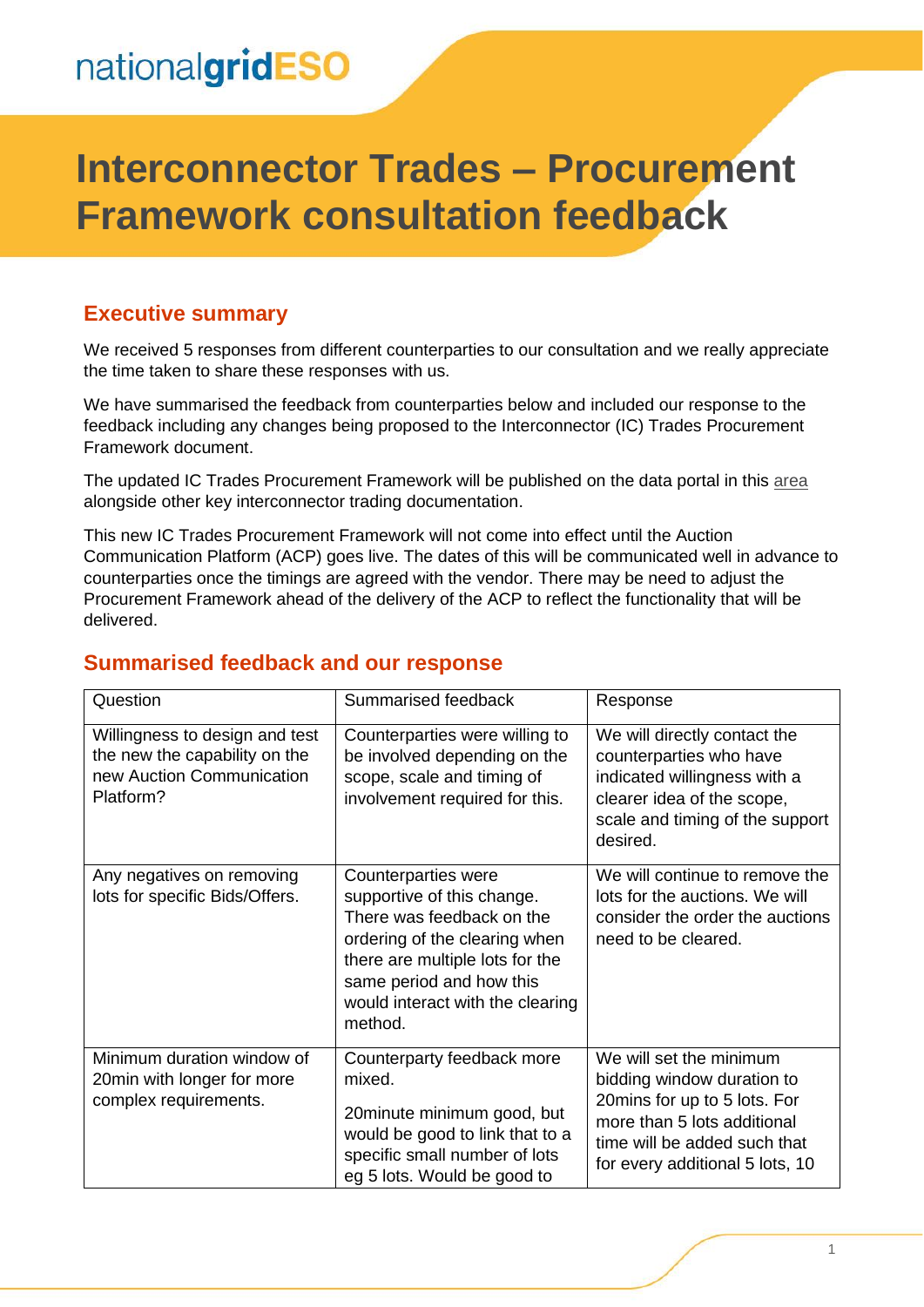## nationalgridESO

# **Interconnector Trades – Procurement Framework consultation feedback**

### **Executive summary**

We received 5 responses from different counterparties to our consultation and we really appreciate the time taken to share these responses with us.

We have summarised the feedback from counterparties below and included our response to the feedback including any changes being proposed to the Interconnector (IC) Trades Procurement Framework document.

The updated IC Trades Procurement Framework will be published on the data portal in this [area](https://data.nationalgrideso.com/trade-data/interconnector-trading-procurement-framework) alongside other key interconnector trading documentation.

This new IC Trades Procurement Framework will not come into effect until the Auction Communication Platform (ACP) goes live. The dates of this will be communicated well in advance to counterparties once the timings are agreed with the vendor. There may be need to adjust the Procurement Framework ahead of the delivery of the ACP to reflect the functionality that will be delivered.

#### **Summarised feedback and our response**

| Question                                                                                                  | Summarised feedback                                                                                                                                                                                                           | Response                                                                                                                                                                                |
|-----------------------------------------------------------------------------------------------------------|-------------------------------------------------------------------------------------------------------------------------------------------------------------------------------------------------------------------------------|-----------------------------------------------------------------------------------------------------------------------------------------------------------------------------------------|
| Willingness to design and test<br>the new the capability on the<br>new Auction Communication<br>Platform? | Counterparties were willing to<br>be involved depending on the<br>scope, scale and timing of<br>involvement required for this.                                                                                                | We will directly contact the<br>counterparties who have<br>indicated willingness with a<br>clearer idea of the scope,<br>scale and timing of the support<br>desired.                    |
| Any negatives on removing<br>lots for specific Bids/Offers.                                               | Counterparties were<br>supportive of this change.<br>There was feedback on the<br>ordering of the clearing when<br>there are multiple lots for the<br>same period and how this<br>would interact with the clearing<br>method. | We will continue to remove the<br>lots for the auctions. We will<br>consider the order the auctions<br>need to be cleared.                                                              |
| Minimum duration window of<br>20 min with longer for more<br>complex requirements.                        | Counterparty feedback more<br>mixed.<br>20 minute minimum good, but<br>would be good to link that to a<br>specific small number of lots<br>eg 5 lots. Would be good to                                                        | We will set the minimum<br>bidding window duration to<br>20mins for up to 5 lots. For<br>more than 5 lots additional<br>time will be added such that<br>for every additional 5 lots, 10 |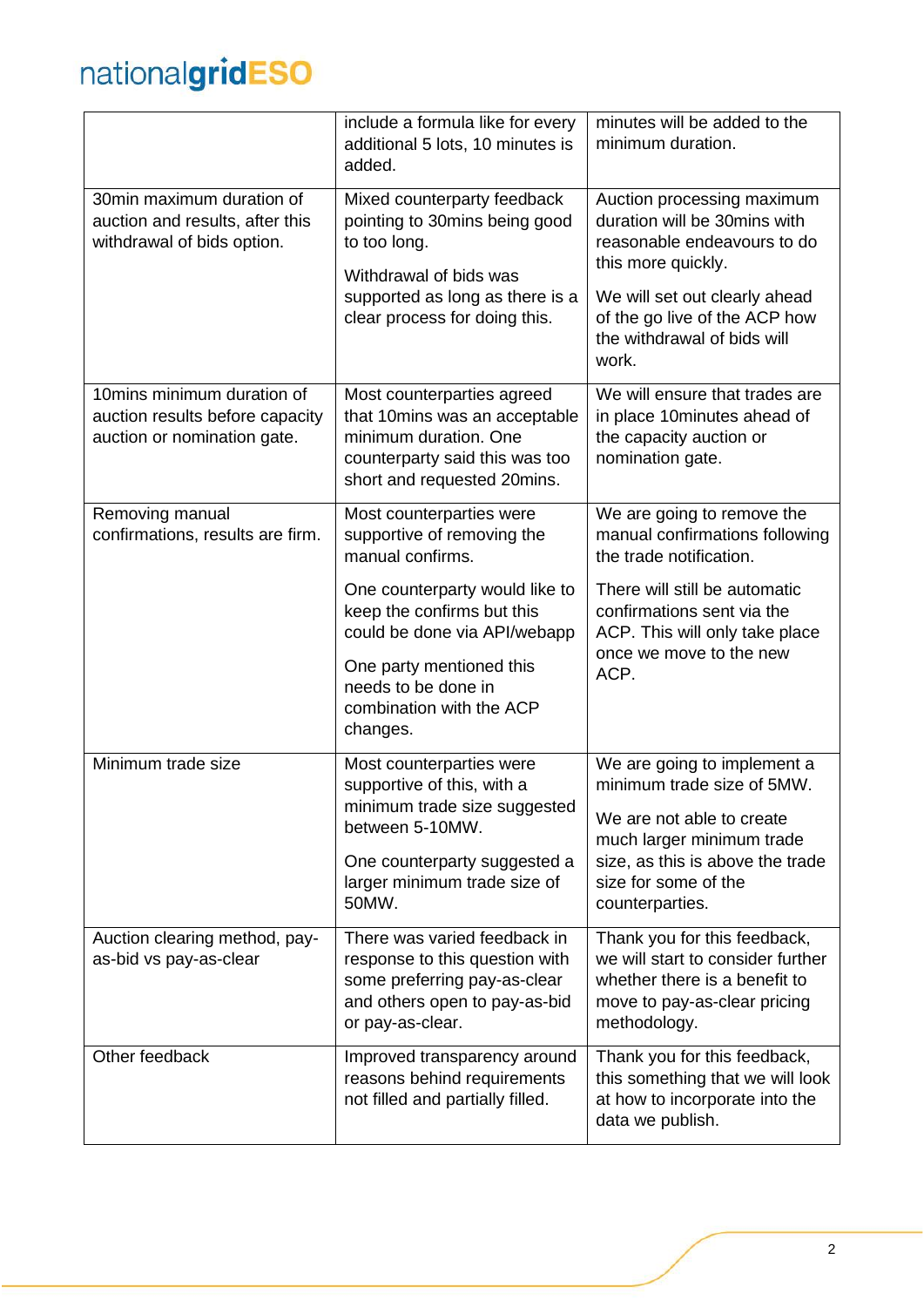# nationalgridESO

|                                                                                               | include a formula like for every<br>additional 5 lots, 10 minutes is<br>added.                                                                                                          | minutes will be added to the<br>minimum duration.                                                                                                  |
|-----------------------------------------------------------------------------------------------|-----------------------------------------------------------------------------------------------------------------------------------------------------------------------------------------|----------------------------------------------------------------------------------------------------------------------------------------------------|
| 30min maximum duration of<br>auction and results, after this<br>withdrawal of bids option.    | Mixed counterparty feedback<br>pointing to 30mins being good<br>to too long.<br>Withdrawal of bids was                                                                                  | Auction processing maximum<br>duration will be 30mins with<br>reasonable endeavours to do<br>this more quickly.                                    |
|                                                                                               | supported as long as there is a<br>clear process for doing this.                                                                                                                        | We will set out clearly ahead<br>of the go live of the ACP how<br>the withdrawal of bids will<br>work.                                             |
| 10 mins minimum duration of<br>auction results before capacity<br>auction or nomination gate. | Most counterparties agreed<br>that 10mins was an acceptable<br>minimum duration. One<br>counterparty said this was too<br>short and requested 20mins.                                   | We will ensure that trades are<br>in place 10minutes ahead of<br>the capacity auction or<br>nomination gate.                                       |
| Removing manual<br>confirmations, results are firm.                                           | Most counterparties were<br>supportive of removing the<br>manual confirms.                                                                                                              | We are going to remove the<br>manual confirmations following<br>the trade notification.                                                            |
|                                                                                               | One counterparty would like to<br>keep the confirms but this<br>could be done via API/webapp<br>One party mentioned this<br>needs to be done in<br>combination with the ACP<br>changes. | There will still be automatic<br>confirmations sent via the<br>ACP. This will only take place<br>once we move to the new<br>ACP.                   |
| Minimum trade size                                                                            | Most counterparties were<br>supportive of this, with a<br>minimum trade size suggested<br>between 5-10MW.                                                                               | We are going to implement a<br>minimum trade size of 5MW.<br>We are not able to create                                                             |
|                                                                                               | One counterparty suggested a<br>larger minimum trade size of<br>50MW.                                                                                                                   | much larger minimum trade<br>size, as this is above the trade<br>size for some of the<br>counterparties.                                           |
| Auction clearing method, pay-<br>as-bid vs pay-as-clear                                       | There was varied feedback in<br>response to this question with<br>some preferring pay-as-clear<br>and others open to pay-as-bid<br>or pay-as-clear.                                     | Thank you for this feedback,<br>we will start to consider further<br>whether there is a benefit to<br>move to pay-as-clear pricing<br>methodology. |
| Other feedback                                                                                | Improved transparency around<br>reasons behind requirements<br>not filled and partially filled.                                                                                         | Thank you for this feedback,<br>this something that we will look<br>at how to incorporate into the<br>data we publish.                             |